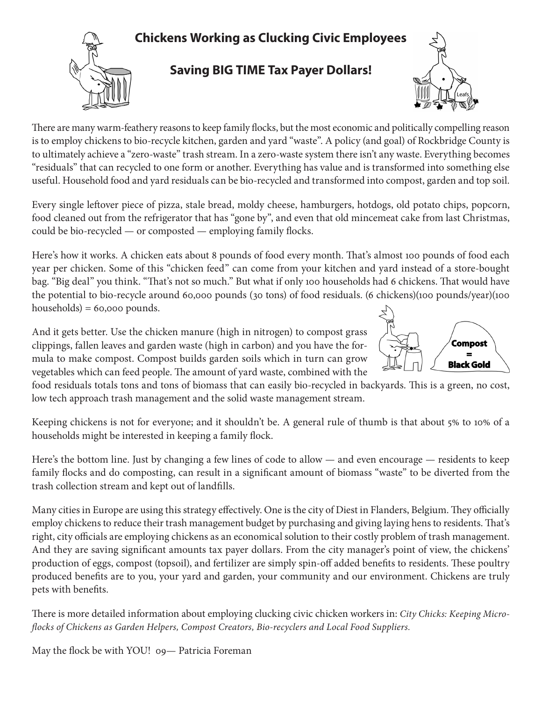## **Chickens Working as Clucking Civic Employees**



## **Saving BIG TIME Tax Payer Dollars!**



There are many warm-feathery reasons to keep family flocks, but the most economic and politically compelling reason is to employ chickens to bio-recycle kitchen, garden and yard "waste". A policy (and goal) of Rockbridge County is to ultimately achieve a "zero-waste" trash stream. In a zero-waste system there isn't any waste. Everything becomes "residuals" that can recycled to one form or another. Everything has value and is transformed into something else useful. Household food and yard residuals can be bio-recycled and transformed into compost, garden and top soil.

Every single leftover piece of pizza, stale bread, moldy cheese, hamburgers, hotdogs, old potato chips, popcorn, food cleaned out from the refrigerator that has "gone by", and even that old mincemeat cake from last Christmas, could be bio-recycled — or composted — employing family flocks.

Here's how it works. A chicken eats about 8 pounds of food every month. That's almost 100 pounds of food each year per chicken. Some of this "chicken feed" can come from your kitchen and yard instead of a store-bought bag. "Big deal" you think. "That's not so much." But what if only 100 households had 6 chickens. That would have the potential to bio-recycle around 60,000 pounds (30 tons) of food residuals. (6 chickens)(100 pounds/year)(100  $households) = 60,000 pounds.$ 

And it gets better. Use the chicken manure (high in nitrogen) to compost grass clippings, fallen leaves and garden waste (high in carbon) and you have the formula to make compost. Compost builds garden soils which in turn can grow vegetables which can feed people. The amount of yard waste, combined with the



food residuals totals tons and tons of biomass that can easily bio-recycled in backyards. This is a green, no cost, low tech approach trash management and the solid waste management stream.

Keeping chickens is not for everyone; and it shouldn't be. A general rule of thumb is that about 5% to 10% of a households might be interested in keeping a family flock.

Here's the bottom line. Just by changing a few lines of code to allow — and even encourage — residents to keep family flocks and do composting, can result in a significant amount of biomass "waste" to be diverted from the trash collection stream and kept out of landfills.

Many cities in Europe are using this strategy effectively. One is the city of Diest in Flanders, Belgium. They officially employ chickens to reduce their trash management budget by purchasing and giving laying hens to residents. That's right, city officials are employing chickens as an economical solution to their costly problem of trash management. And they are saving significant amounts tax payer dollars. From the city manager's point of view, the chickens' production of eggs, compost (topsoil), and fertilizer are simply spin-off added benefits to residents. These poultry produced benefits are to you, your yard and garden, your community and our environment. Chickens are truly pets with benefits.

There is more detailed information about employing clucking civic chicken workers in: *City Chicks: Keeping Microflocks of Chickens as Garden Helpers, Compost Creators, Bio-recyclers and Local Food Suppliers.*

May the flock be with YOU! 09— Patricia Foreman